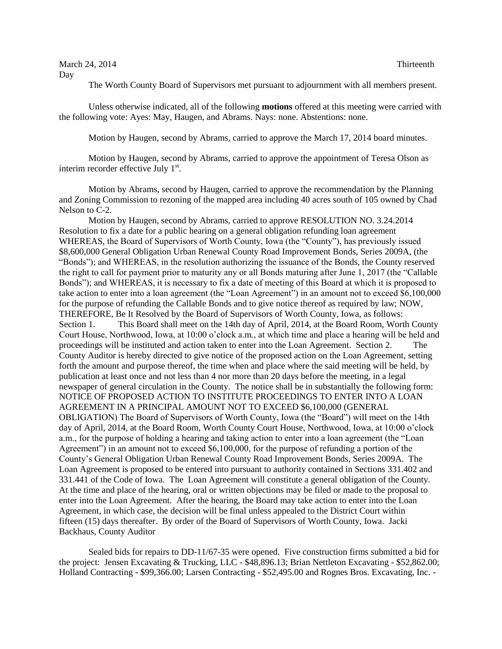March 24, 2014 Thirteenth Day

The Worth County Board of Supervisors met pursuant to adjournment with all members present.

Unless otherwise indicated, all of the following **motions** offered at this meeting were carried with the following vote: Ayes: May, Haugen, and Abrams. Nays: none. Abstentions: none.

Motion by Haugen, second by Abrams, carried to approve the March 17, 2014 board minutes.

Motion by Haugen, second by Abrams, carried to approve the appointment of Teresa Olson as interim recorder effective July  $1<sup>st</sup>$ .

Motion by Abrams, second by Haugen, carried to approve the recommendation by the Planning and Zoning Commission to rezoning of the mapped area including 40 acres south of 105 owned by Chad Nelson to C-2.

Motion by Haugen, second by Abrams, carried to approve RESOLUTION NO. 3.24.2014 Resolution to fix a date for a public hearing on a general obligation refunding loan agreement WHEREAS, the Board of Supervisors of Worth County, Iowa (the "County"), has previously issued \$8,600,000 General Obligation Urban Renewal County Road Improvement Bonds, Series 2009A, (the "Bonds"); and WHEREAS, in the resolution authorizing the issuance of the Bonds, the County reserved the right to call for payment prior to maturity any or all Bonds maturing after June 1, 2017 (the "Callable Bonds"); and WHEREAS, it is necessary to fix a date of meeting of this Board at which it is proposed to take action to enter into a loan agreement (the "Loan Agreement") in an amount not to exceed \$6,100,000 for the purpose of refunding the Callable Bonds and to give notice thereof as required by law; NOW, THEREFORE, Be It Resolved by the Board of Supervisors of Worth County, Iowa, as follows: Section 1. This Board shall meet on the 14th day of April, 2014, at the Board Room, Worth County Court House, Northwood, Iowa, at 10:00 o'clock a.m., at which time and place a hearing will be held and proceedings will be instituted and action taken to enter into the Loan Agreement. Section 2. The County Auditor is hereby directed to give notice of the proposed action on the Loan Agreement, setting forth the amount and purpose thereof, the time when and place where the said meeting will be held, by publication at least once and not less than 4 nor more than 20 days before the meeting, in a legal newspaper of general circulation in the County. The notice shall be in substantially the following form: NOTICE OF PROPOSED ACTION TO INSTITUTE PROCEEDINGS TO ENTER INTO A LOAN AGREEMENT IN A PRINCIPAL AMOUNT NOT TO EXCEED \$6,100,000 (GENERAL OBLIGATION) The Board of Supervisors of Worth County, Iowa (the "Board") will meet on the 14th day of April, 2014, at the Board Room, Worth County Court House, Northwood, Iowa, at 10:00 o'clock a.m., for the purpose of holding a hearing and taking action to enter into a loan agreement (the "Loan Agreement") in an amount not to exceed \$6,100,000, for the purpose of refunding a portion of the County's General Obligation Urban Renewal County Road Improvement Bonds, Series 2009A. The Loan Agreement is proposed to be entered into pursuant to authority contained in Sections 331.402 and 331.441 of the Code of Iowa. The Loan Agreement will constitute a general obligation of the County. At the time and place of the hearing, oral or written objections may be filed or made to the proposal to enter into the Loan Agreement. After the hearing, the Board may take action to enter into the Loan Agreement, in which case, the decision will be final unless appealed to the District Court within fifteen (15) days thereafter. By order of the Board of Supervisors of Worth County, Iowa. Jacki Backhaus, County Auditor

Sealed bids for repairs to DD-11/67-35 were opened. Five construction firms submitted a bid for the project: Jensen Excavating & Trucking, LLC - \$48,896.13; Brian Nettleton Excavating - \$52,862.00; Holland Contracting - \$99,366.00; Larsen Contracting - \$52,495.00 and Rognes Bros. Excavating, Inc. -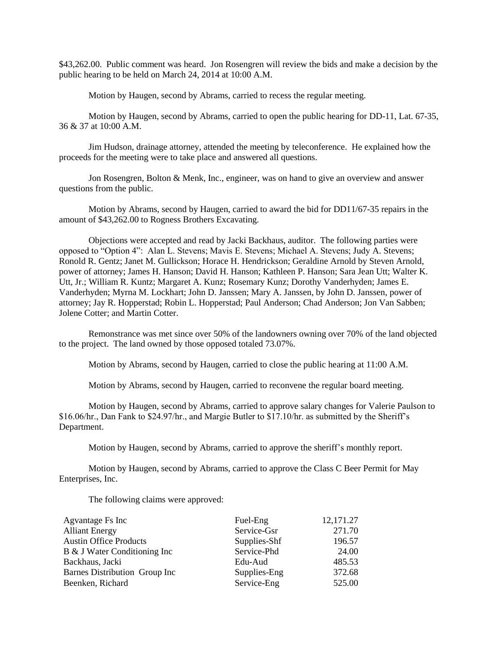\$43,262.00. Public comment was heard. Jon Rosengren will review the bids and make a decision by the public hearing to be held on March 24, 2014 at 10:00 A.M.

Motion by Haugen, second by Abrams, carried to recess the regular meeting.

Motion by Haugen, second by Abrams, carried to open the public hearing for DD-11, Lat. 67-35, 36 & 37 at 10:00 A.M.

Jim Hudson, drainage attorney, attended the meeting by teleconference. He explained how the proceeds for the meeting were to take place and answered all questions.

Jon Rosengren, Bolton & Menk, Inc., engineer, was on hand to give an overview and answer questions from the public.

Motion by Abrams, second by Haugen, carried to award the bid for DD11/67-35 repairs in the amount of \$43,262.00 to Rogness Brothers Excavating.

Objections were accepted and read by Jacki Backhaus, auditor. The following parties were opposed to "Option 4": Alan L. Stevens; Mavis E. Stevens; Michael A. Stevens; Judy A. Stevens; Ronold R. Gentz; Janet M. Gullickson; Horace H. Hendrickson; Geraldine Arnold by Steven Arnold, power of attorney; James H. Hanson; David H. Hanson; Kathleen P. Hanson; Sara Jean Utt; Walter K. Utt, Jr.; William R. Kuntz; Margaret A. Kunz; Rosemary Kunz; Dorothy Vanderhyden; James E. Vanderhyden; Myrna M. Lockhart; John D. Janssen; Mary A. Janssen, by John D. Janssen, power of attorney; Jay R. Hopperstad; Robin L. Hopperstad; Paul Anderson; Chad Anderson; Jon Van Sabben; Jolene Cotter; and Martin Cotter.

Remonstrance was met since over 50% of the landowners owning over 70% of the land objected to the project. The land owned by those opposed totaled 73.07%.

Motion by Abrams, second by Haugen, carried to close the public hearing at 11:00 A.M.

Motion by Abrams, second by Haugen, carried to reconvene the regular board meeting.

Motion by Haugen, second by Abrams, carried to approve salary changes for Valerie Paulson to \$16.06/hr., Dan Fank to \$24.97/hr., and Margie Butler to \$17.10/hr. as submitted by the Sheriff's Department.

Motion by Haugen, second by Abrams, carried to approve the sheriff's monthly report.

Motion by Haugen, second by Abrams, carried to approve the Class C Beer Permit for May Enterprises, Inc.

The following claims were approved:

| Agvantage Fs Inc              | Fuel-Eng     | 12,171.27 |
|-------------------------------|--------------|-----------|
| <b>Alliant Energy</b>         | Service-Gsr  | 271.70    |
| <b>Austin Office Products</b> | Supplies-Shf | 196.57    |
| B & J Water Conditioning Inc  | Service-Phd  | 24.00     |
| Backhaus, Jacki               | Edu-Aud      | 485.53    |
| Barnes Distribution Group Inc | Supplies-Eng | 372.68    |
| Beenken, Richard              | Service-Eng  | 525.00    |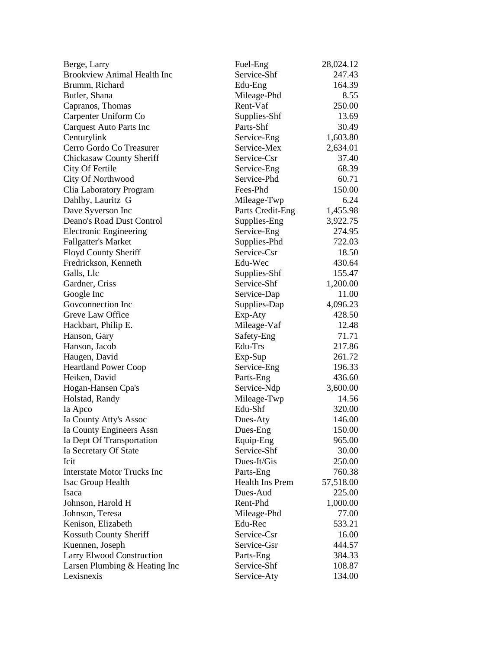| Berge, Larry                       | Fuel-Eng         | 28,024.12 |
|------------------------------------|------------------|-----------|
| <b>Brookview Animal Health Inc</b> | Service-Shf      | 247.43    |
| Brumm, Richard                     | Edu-Eng          | 164.39    |
| Butler, Shana                      | Mileage-Phd      | 8.55      |
| Capranos, Thomas                   | Rent-Vaf         | 250.00    |
| Carpenter Uniform Co               | Supplies-Shf     | 13.69     |
| <b>Carquest Auto Parts Inc</b>     | Parts-Shf        | 30.49     |
| Centurylink                        | Service-Eng      | 1,603.80  |
| Cerro Gordo Co Treasurer           | Service-Mex      | 2,634.01  |
| <b>Chickasaw County Sheriff</b>    | Service-Csr      | 37.40     |
| City Of Fertile                    | Service-Eng      | 68.39     |
| City Of Northwood                  | Service-Phd      | 60.71     |
| Clia Laboratory Program            | Fees-Phd         | 150.00    |
| Dahlby, Lauritz G                  | Mileage-Twp      | 6.24      |
| Dave Syverson Inc                  | Parts Credit-Eng | 1,455.98  |
| Deano's Road Dust Control          | Supplies-Eng     | 3,922.75  |
| <b>Electronic Engineering</b>      | Service-Eng      | 274.95    |
| <b>Fallgatter's Market</b>         | Supplies-Phd     | 722.03    |
| <b>Floyd County Sheriff</b>        | Service-Csr      | 18.50     |
| Fredrickson, Kenneth               | Edu-Wec          | 430.64    |
| Galls, Llc                         | Supplies-Shf     | 155.47    |
| Gardner, Criss                     | Service-Shf      | 1,200.00  |
| Google Inc                         | Service-Dap      | 11.00     |
| Goveonnection Inc                  | Supplies-Dap     | 4,096.23  |
| Greve Law Office                   | Exp-Aty          | 428.50    |
| Hackbart, Philip E.                | Mileage-Vaf      | 12.48     |
| Hanson, Gary                       | Safety-Eng       | 71.71     |
| Hanson, Jacob                      | Edu-Trs          | 217.86    |
| Haugen, David                      | Exp-Sup          | 261.72    |
| <b>Heartland Power Coop</b>        | Service-Eng      | 196.33    |
| Heiken, David                      | Parts-Eng        | 436.60    |
| Hogan-Hansen Cpa's                 | Service-Ndp      | 3,600.00  |
| Holstad, Randy                     | Mileage-Twp      | 14.56     |
| Ia Apco                            | Edu-Shf          | 320.00    |
| Ia County Atty's Assoc             | Dues-Aty         | 146.00    |
| Ia County Engineers Assn           | Dues-Eng         | 150.00    |
| Ia Dept Of Transportation          | Equip-Eng        | 965.00    |
| Ia Secretary Of State              | Service-Shf      | 30.00     |
| Icit                               | Dues-It/Gis      | 250.00    |
| <b>Interstate Motor Trucks Inc</b> | Parts-Eng        | 760.38    |
| Isac Group Health                  | Health Ins Prem  | 57,518.00 |
| Isaca                              | Dues-Aud         | 225.00    |
| Johnson, Harold H                  | Rent-Phd         | 1,000.00  |
| Johnson, Teresa                    | Mileage-Phd      | 77.00     |
| Kenison, Elizabeth                 | Edu-Rec          | 533.21    |
| Kossuth County Sheriff             | Service-Csr      | 16.00     |
| Kuennen, Joseph                    | Service-Gsr      | 444.57    |
| Larry Elwood Construction          | Parts-Eng        | 384.33    |
| Larsen Plumbing & Heating Inc      | Service-Shf      | 108.87    |
| Lexisnexis                         | Service-Aty      | 134.00    |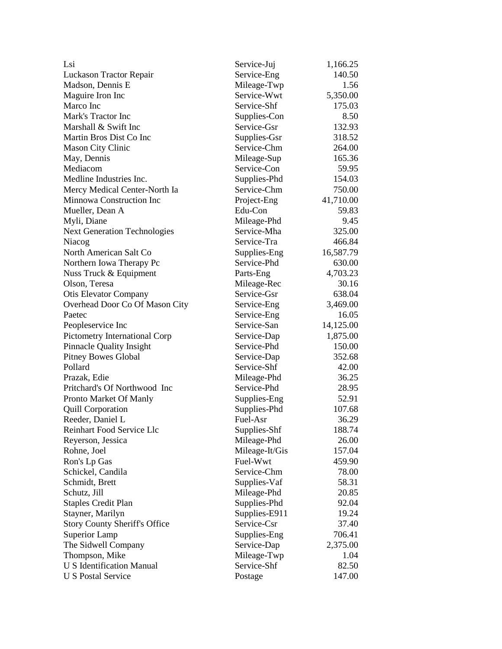| Lsi                                  | Service-Juj    | 1,166.25  |
|--------------------------------------|----------------|-----------|
| Luckason Tractor Repair              | Service-Eng    | 140.50    |
| Madson, Dennis E                     | Mileage-Twp    | 1.56      |
| Maguire Iron Inc                     | Service-Wwt    | 5,350.00  |
| Marco Inc                            | Service-Shf    | 175.03    |
| Mark's Tractor Inc                   | Supplies-Con   | 8.50      |
| Marshall & Swift Inc                 | Service-Gsr    | 132.93    |
| Martin Bros Dist Co Inc              | Supplies-Gsr   | 318.52    |
| <b>Mason City Clinic</b>             | Service-Chm    | 264.00    |
| May, Dennis                          | Mileage-Sup    | 165.36    |
| Mediacom                             | Service-Con    | 59.95     |
| Medline Industries Inc.              | Supplies-Phd   | 154.03    |
| Mercy Medical Center-North Ia        | Service-Chm    | 750.00    |
| Minnowa Construction Inc             | Project-Eng    | 41,710.00 |
| Mueller, Dean A                      | Edu-Con        | 59.83     |
| Myli, Diane                          | Mileage-Phd    | 9.45      |
| <b>Next Generation Technologies</b>  | Service-Mha    | 325.00    |
| Niacog                               | Service-Tra    | 466.84    |
| North American Salt Co               | Supplies-Eng   | 16,587.79 |
| Northern Iowa Therapy Pc             | Service-Phd    | 630.00    |
| Nuss Truck & Equipment               | Parts-Eng      | 4,703.23  |
| Olson, Teresa                        | Mileage-Rec    | 30.16     |
| <b>Otis Elevator Company</b>         | Service-Gsr    | 638.04    |
| Overhead Door Co Of Mason City       | Service-Eng    | 3,469.00  |
| Paetec                               | Service-Eng    | 16.05     |
| Peopleservice Inc                    | Service-San    | 14,125.00 |
| Pictometry International Corp        | Service-Dap    | 1,875.00  |
| <b>Pinnacle Quality Insight</b>      | Service-Phd    | 150.00    |
| <b>Pitney Bowes Global</b>           | Service-Dap    | 352.68    |
| Pollard                              | Service-Shf    | 42.00     |
| Prazak, Edie                         | Mileage-Phd    | 36.25     |
| Pritchard's Of Northwood Inc         | Service-Phd    | 28.95     |
| Pronto Market Of Manly               | Supplies-Eng   | 52.91     |
| <b>Quill Corporation</b>             | Supplies-Phd   | 107.68    |
| Reeder, Daniel L                     | Fuel-Asr       | 36.29     |
| Reinhart Food Service Llc            | Supplies-Shf   | 188.74    |
| Reyerson, Jessica                    | Mileage-Phd    | 26.00     |
| Rohne, Joel                          | Mileage-It/Gis | 157.04    |
| Ron's Lp Gas                         | Fuel-Wwt       | 459.90    |
| Schickel, Candila                    | Service-Chm    | 78.00     |
| Schmidt, Brett                       | Supplies-Vaf   | 58.31     |
| Schutz, Jill                         | Mileage-Phd    | 20.85     |
| <b>Staples Credit Plan</b>           | Supplies-Phd   | 92.04     |
| Stayner, Marilyn                     | Supplies-E911  | 19.24     |
| <b>Story County Sheriff's Office</b> | Service-Csr    | 37.40     |
| Superior Lamp                        | Supplies-Eng   | 706.41    |
| The Sidwell Company                  | Service-Dap    | 2,375.00  |
| Thompson, Mike                       | Mileage-Twp    | 1.04      |
| <b>U S Identification Manual</b>     | Service-Shf    | 82.50     |
| <b>U S Postal Service</b>            | Postage        | 147.00    |